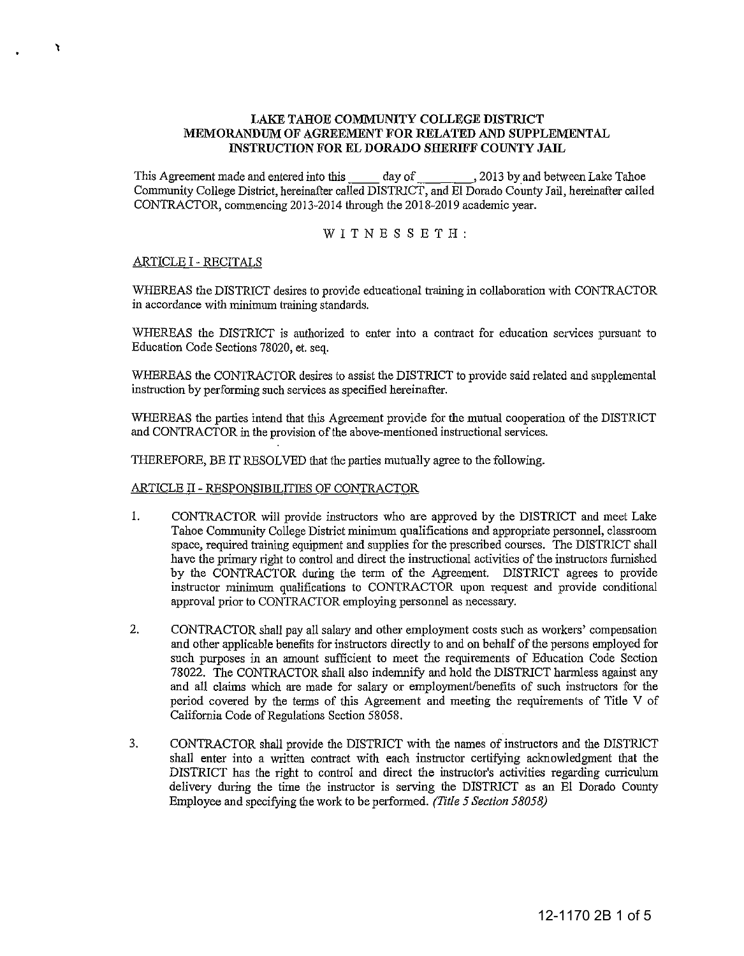# **LAKE TAHOE COMMUNITY COLLEGE DISTRICT MEMORANDUM OF AGREEMENT FOR RELATED AND SUPPLEMENTAL INSTRUCTION FOR EL DORADO SHERIFF COUNTY JAIL**

This Agreement made and entered into this day of ,2013 by and between Lake Tahoe Community College District, hereinafter called DISTRICT, and EI Dorado County Jail, hereinafter called CONTRACTOR, commencing 2013-2014 through the 2018-2019 academic year.

WITNESSETH:

# ARTICLE I - RECITALS

,

WHEREAS the DISTRICT desires to provide educational training in collaboration with CONTRACTOR in accordance with minimum training standards.

WHEREAS the DISTRICT is authorized to enter into a contract for education services pursuant to Education Code Sections 78020, et. seq.

WHEREAS the CONTRACTOR desires to assist the DISTRICT to provide said related and supplemental instruction by performing such services as specified hereinafter.

WHEREAS the parties intend that this Agreement provide for the mutual cooperation of the DISTRICT and CONTRACTOR in the provision of the above-mentioned instmctional services.

THEREFORE, BE IT RESOLVED that the parties mutually agree to the following.

# ARTICLE II - RESPONSIBILITIES OF CONTRACTOR

- 1. CONTRACTOR will provide instructors who are approved by the DISTRICT and meet Lake Tahoe Community College District minimum qualifications and appropriate personnel, classroom space, required training equipment and supplies for the prescribed courses. The DISTRICT shall have the primary right to control and direct the instructional activities of the instructors furnished by the CONTRACTOR during the term of the Agreement. DISTRICT agrees to provide instructor minimum qualifications to CONTRACTOR npon request and provide conditional approval prior to CONTRACTOR employing personnel as necessary.
- 2. CONTRACTOR shall pay all salary and other employment costs such as workers' compensation and other applicable benefits for instructors directly to and on behalf of the persons employed for such purposes in an amount sufficient to meet the requirements of Education Code Section 78022. The CONTRACTOR shall also indemnify and hold the DISTRICT harmless against any and all claims which are made for salary or employment/benefits of such instructors for the period covered by the tenns of this Agreement and meeting the requirements of Title V of California Code of Regulations Section 58058.
- 3. CONTRACTOR shall provide the DISTRICT with the names of instructors and the DISTRICT shall enter into a written contract with each instructor certifying acknowledgment that the DISTRICT has the right to control and direct the instructor's activities regarding curriculum delivery during the time the instructor is serving the DISTRICT as an EI Dorado County Employee and specifying the work to be performed. *(Title 5 Section 58058)*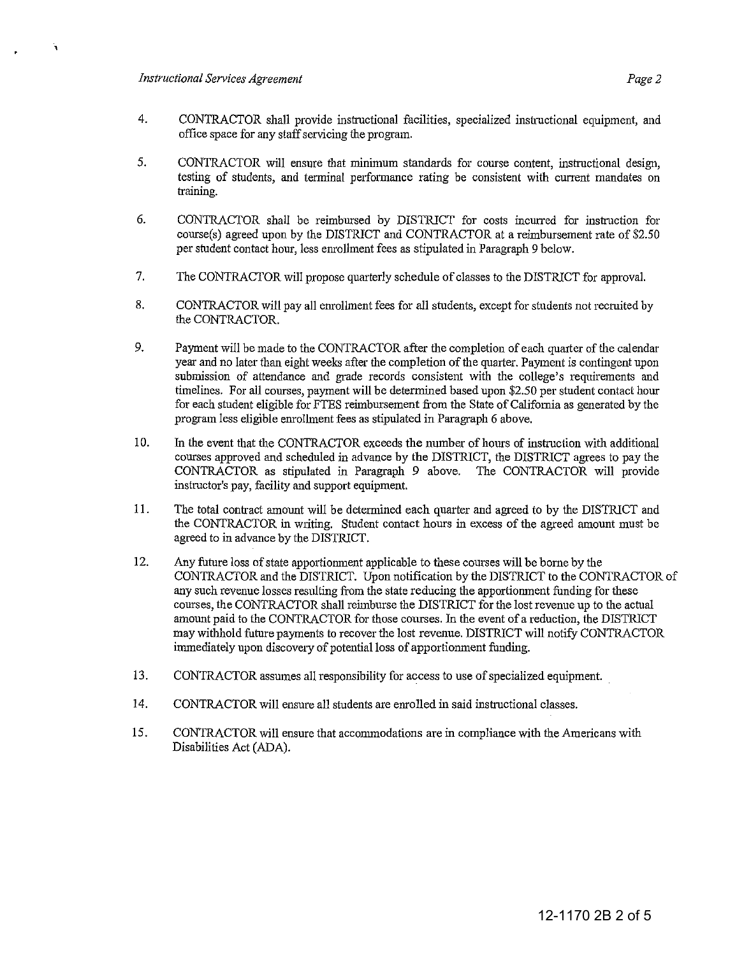$\mathbf{A}$ 

- 5. CONTRACTOR will ensure that minimum standards for course content, instructional design, testing of students, and terminal performance rating be consistent with current mandates on training.
- 6. CONTRACTOR shall be reimbursed by DISTRICT for costs incurred for instruction for comse(s) agreed upon by the DISTRICT and CONTRACTOR at a reimbursement rate of \$2.50 per student contact hour, less enrollment fees as stipulated in Paragraph 9 below.
- 7. The CONTRACTOR will propose quarterly schedule of classes to the DISTRICT for approval.
- 8. CONTRACTOR will pay all enrollment fees for all students, except for students not recruited by the CONTRACTOR.
- 9. Payment will be made to the CONTRACTOR after the completion of each quarter of the calendar year and no later than eight weeks after the completion of the quarter. Payment is contingent upon submission of attendance and grade records consistent with the college's requirements and timelines. For all courses, payment will be determined based upon \$2.50 per student contact hour for each student eligible for FTES reimbursement from the State of California as generated by the program less eligible enrolhnent fees as stipulated in Paragraph 6 above.
- 10. In the event that the CONTRACTOR exceeds the number of hams of instruction with additional comses approved and scheduled in advance by the DISTRICT, the DISTRICT agrees to pay the CONTRACTOR as stipUlated in Paragraph 9 above. The CONTRACTOR will provide instructor's pay, facility and support equipment.
- 11. The total contract amount will be determined each quarter and agreed to by the DISTRICT and the CONTRACTOR in writing. Student contact hours in excess of the agreed amount must be agreed to in advance by the DISTRICT.
- 12. Any future loss of state apportionment applicable to these comses will be borne by the CONTRACTOR and the DISTRICT. Upon notification by the DISTRICT to the CONTRACTOR of any such revenue losses resulting from the state reducing the apportionment funding for these comses, the CONTRACTOR shall reimburse the DISTRICT for the lost revenue up to the actual amount paid to the CONTRACTOR for those courses. In the event of a reduction, the DISTRICT may withhold future payments to recover the lost revenue. DISTRICT will notify CONTRACTOR immediately upon discovery of potential loss of apportionment funding.
- 13. CONTRACTOR assumes all responsibility for access to use of specialized equipment.
- 14. CONTRACTOR will ensure all students are enrolled in said instructional classes.
- 15. CONTRACTOR will ensure that accommodations are in compliance with the Americans with Disabilities Act (ADA).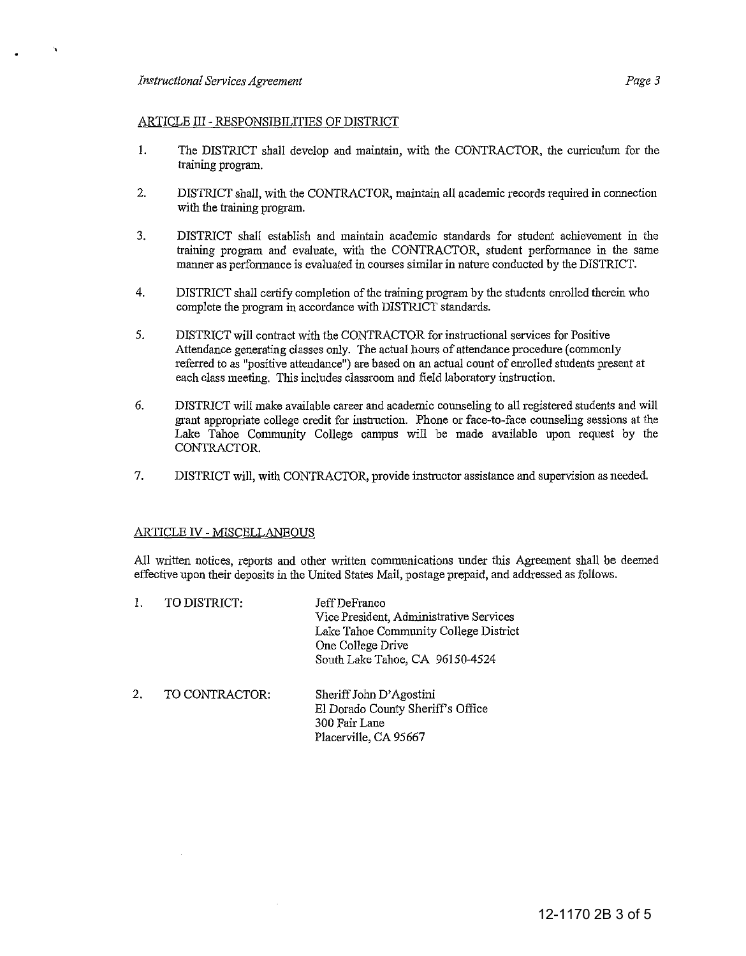$\mathbf{v}$ 

## ARTICLE III - RESPONSIBILITIES OF DISTRICT

- 1. The DISTRICT shall develop and maintain, with the CONTRACTOR, the curriculum for the training program.
- 2. DISTRICT shall, with the CONTRACTOR, maintain all academic records required in connection with the training program.
- 3. DISTRICT shall establish and maintaiu academic standards for student achievement iu the training program and evaluate, with the CONTRACTOR, student performance in the same manner as performance is evaluated in courses similar in nature conducted by the DISTRICT.
- 4. DISTRICT shall certify completion of the training program by the students enrolled thereiu who complete the program in accordance with DISTRICT standards.
- 5. DISTRICT will contract with the CONTRACTOR for instructional services for Positive Attendance generating classes only. The actual hours of attendance procedure (commonly referred to as "positive attendance") are based on an actual count of enrolled students present at each class meeting. This includes classroom and field laboratory instruction.
- 6. DISTRICT will make available career and academic counseliug to all registered students and will grant appropriate college credit for instruction. Phone or face-to-face counseling sessions at the Lake Tahoe Community College campns will be made available upon request by the CONTRACTOR.
- 7. DISTRICT will, with CONTRACTOR, provide instructor assistance and supervision as needed.

## ARTICLE IV - MISCELLANEOUS

All written notices, reports and other written communications under this Agreement shall be deemed effective npon their deposits iu the United States Mail, postage prepaid, and addressed as follows.

|    | TO DISTRICT:   | Jeff DeFranco<br>Vice President, Administrative Services<br>Lake Tahoe Community College District<br>One College Drive<br>South Lake Tahoe, CA 96150-4524 |
|----|----------------|-----------------------------------------------------------------------------------------------------------------------------------------------------------|
| 2. | TO CONTRACTOR: | Sheriff John D'Agostini<br>El Dorado County Sheriff's Office<br>300 Fair Lane<br>Placerville, CA 95667                                                    |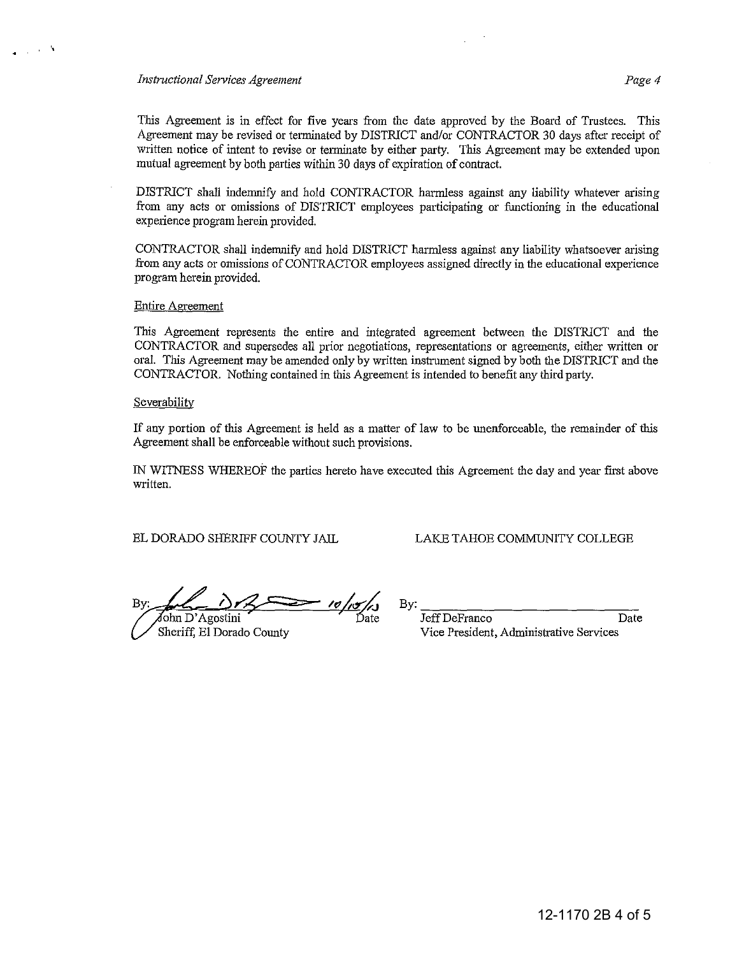#### *Instructional Services Agreement Page 4*

· ,

This Agreement is in effect for five years from the date approved by the Board of Trustees. This Agreement may be revised or terminated by DISTRICT andlor CONTRACTOR 30 days after receipt of written notice of intent to revise or tenninate by either party. This Agreement may be extended upon mutual agreement by both parties within 30 days of expiration of contract.

DISTRICT shall indemnify and hold CONTRACTOR harmless against any liability whatever arising from any acts or omissions of DISTRICT employees participating or functioning in the educational experience program herein provided.

CONTRACTOR shall indemnify and hold DISTRICT harmless against any liability whatsoever arising from any acts or omissions of CONTRACTOR employees assigned directly in the educational expetience program herein provided.

### Entire Agreement

This Agreement represents the entire and integrated agreement between the DISTRICT and the CONTRACTOR and supersedes all prior negotiations, representations or agreements, either written or oral. This Agreement may be amended only by written instrument signed by both the DISTRICT and the CONTRACTOR. Nothing contained in this Agreement is intended to benefit any third party.

#### **Severability**

If any portion of this Agreement is held as a matter of law to be unenforceable, the remainder of this Agreement shall be enforceable without such provisions.

IN WITNESS WHEREOF the parties hereto have executed this Agreement the day and year first above written.

EL DORADO SHERIFF COUNTY JAIL

### LAKE TAHOE COMMUNITY COLLEGE

 $\lambda$ */t/* **<Y'J.;**  Bτ ohn D' Agostini Date

Sheriff, El Dorado County

 $\mathbf{B} \mathbf{y}$ :

Jeff DeFranco Date Vice President, Administrative Services